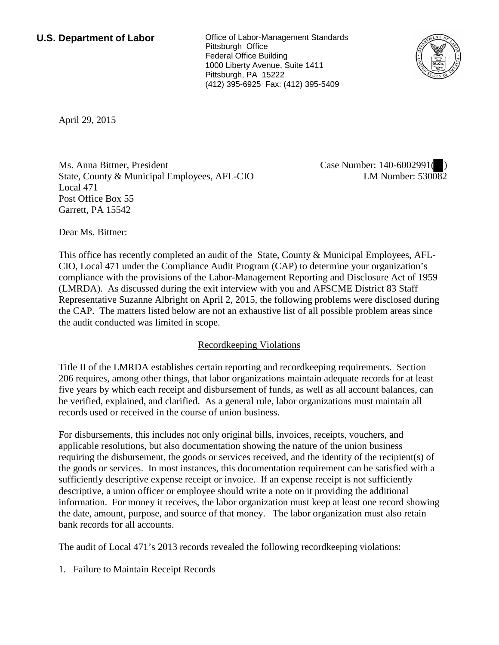**U.S. Department of Labor Conservative Conservative Conservative U.S. Department of Labor** Pittsburgh Office Federal Office Building 1000 Liberty Avenue, Suite 1411 Pittsburgh, PA 15222 (412) 395-6925 Fax: (412) 395-5409



April 29, 2015

Ms. Anna Bittner, President State, County & Municipal Employees, AFL-CIO Local 471 Post Office Box 55 Garrett, PA 15542

Case Number: 140-6002991(<sup>0</sup>) LM Number:  $530\overline{08}2$ 

Dear Ms. Bittner:

This office has recently completed an audit of the State, County & Municipal Employees, AFL-CIO, Local 471 under the Compliance Audit Program (CAP) to determine your organization's compliance with the provisions of the Labor-Management Reporting and Disclosure Act of 1959 (LMRDA). As discussed during the exit interview with you and AFSCME District 83 Staff Representative Suzanne Albright on April 2, 2015, the following problems were disclosed during the CAP. The matters listed below are not an exhaustive list of all possible problem areas since the audit conducted was limited in scope.

## Recordkeeping Violations

Title II of the LMRDA establishes certain reporting and recordkeeping requirements. Section 206 requires, among other things, that labor organizations maintain adequate records for at least five years by which each receipt and disbursement of funds, as well as all account balances, can be verified, explained, and clarified. As a general rule, labor organizations must maintain all records used or received in the course of union business.

For disbursements, this includes not only original bills, invoices, receipts, vouchers, and applicable resolutions, but also documentation showing the nature of the union business requiring the disbursement, the goods or services received, and the identity of the recipient(s) of the goods or services. In most instances, this documentation requirement can be satisfied with a sufficiently descriptive expense receipt or invoice. If an expense receipt is not sufficiently descriptive, a union officer or employee should write a note on it providing the additional information. For money it receives, the labor organization must keep at least one record showing the date, amount, purpose, and source of that money. The labor organization must also retain bank records for all accounts.

The audit of Local 471's 2013 records revealed the following recordkeeping violations:

1. Failure to Maintain Receipt Records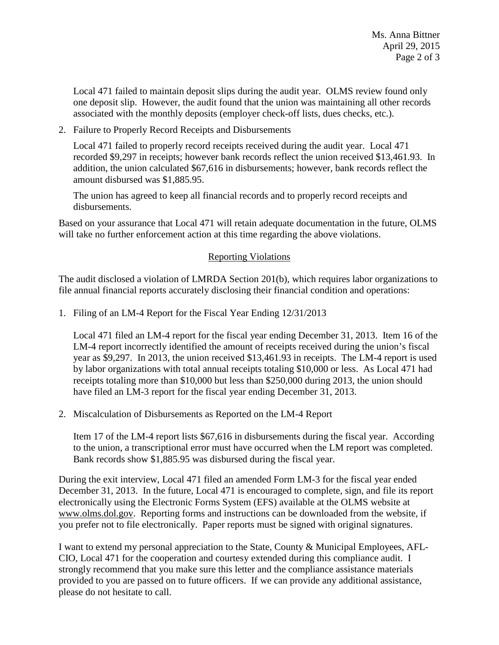Local 471 failed to maintain deposit slips during the audit year. OLMS review found only one deposit slip. However, the audit found that the union was maintaining all other records associated with the monthly deposits (employer check-off lists, dues checks, etc.).

2. Failure to Properly Record Receipts and Disbursements

Local 471 failed to properly record receipts received during the audit year. Local 471 recorded \$9,297 in receipts; however bank records reflect the union received \$13,461.93. In addition, the union calculated \$67,616 in disbursements; however, bank records reflect the amount disbursed was \$1,885.95.

The union has agreed to keep all financial records and to properly record receipts and disbursements.

Based on your assurance that Local 471 will retain adequate documentation in the future, OLMS will take no further enforcement action at this time regarding the above violations.

## Reporting Violations

The audit disclosed a violation of LMRDA Section 201(b), which requires labor organizations to file annual financial reports accurately disclosing their financial condition and operations:

1. Filing of an LM-4 Report for the Fiscal Year Ending 12/31/2013

Local 471 filed an LM-4 report for the fiscal year ending December 31, 2013. Item 16 of the LM-4 report incorrectly identified the amount of receipts received during the union's fiscal year as \$9,297. In 2013, the union received \$13,461.93 in receipts. The LM-4 report is used by labor organizations with total annual receipts totaling \$10,000 or less. As Local 471 had receipts totaling more than \$10,000 but less than \$250,000 during 2013, the union should have filed an LM-3 report for the fiscal year ending December 31, 2013.

2. Miscalculation of Disbursements as Reported on the LM-4 Report

Item 17 of the LM-4 report lists \$67,616 in disbursements during the fiscal year. According to the union, a transcriptional error must have occurred when the LM report was completed. Bank records show \$1,885.95 was disbursed during the fiscal year.

During the exit interview, Local 471 filed an amended Form LM-3 for the fiscal year ended December 31, 2013. In the future, Local 471 is encouraged to complete, sign, and file its report electronically using the Electronic Forms System (EFS) available at the OLMS website at www.olms.dol.gov. Reporting forms and instructions can be downloaded from the website, if you prefer not to file electronically. Paper reports must be signed with original signatures.

I want to extend my personal appreciation to the State, County & Municipal Employees, AFL-CIO, Local 471 for the cooperation and courtesy extended during this compliance audit. I strongly recommend that you make sure this letter and the compliance assistance materials provided to you are passed on to future officers. If we can provide any additional assistance, please do not hesitate to call.